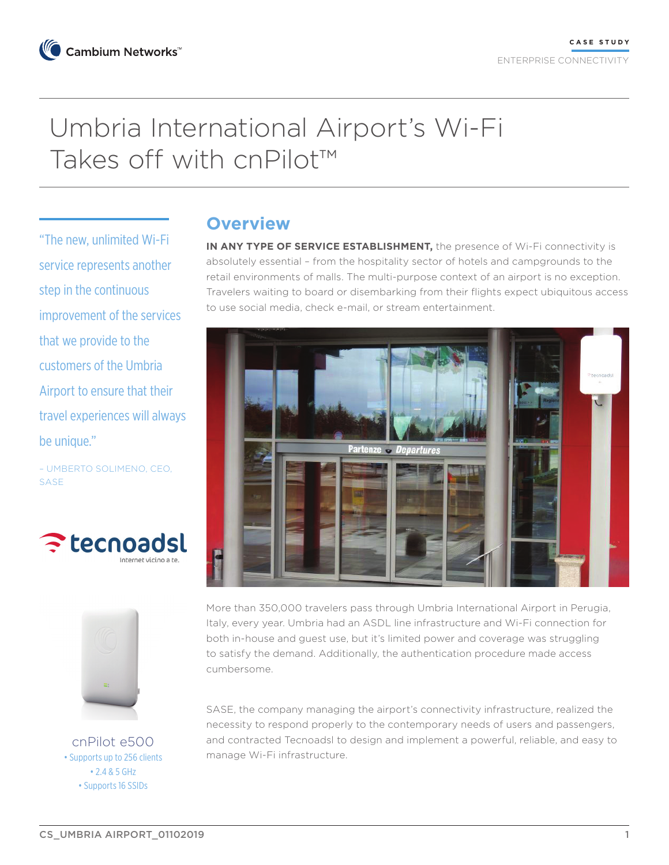# Umbria International Airport's Wi-Fi Takes off with cnPilot™

"The new, unlimited Wi-Fi service represents another step in the continuous improvement of the services that we provide to the customers of the Umbria Airport to ensure that their travel experiences will always be unique."

– UMBERTO SOLIMENO, CEO, SASE





cnPilot e500 • Supports up to 256 clients • 2.4 & 5 GHz • Supports 16 SSIDs

### **Overview**

**IN ANY TYPE OF SERVICE ESTABLISHMENT,** the presence of Wi-Fi connectivity is absolutely essential – from the hospitality sector of hotels and campgrounds to the retail environments of malls. The multi-purpose context of an airport is no exception. Travelers waiting to board or disembarking from their flights expect ubiquitous access to use social media, check e-mail, or stream entertainment.



More than 350,000 travelers pass through Umbria International Airport in Perugia, Italy, every year. Umbria had an ASDL line infrastructure and Wi-Fi connection for both in-house and guest use, but it's limited power and coverage was struggling to satisfy the demand. Additionally, the authentication procedure made access cumbersome.

SASE, the company managing the airport's connectivity infrastructure, realized the necessity to respond properly to the contemporary needs of users and passengers, and contracted Tecnoadsl to design and implement a powerful, reliable, and easy to manage Wi-Fi infrastructure.